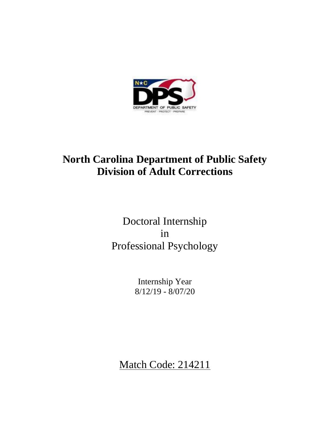

# **North Carolina Department of Public Safety Division of Adult Corrections**

# Doctoral Internship in Professional Psychology

Internship Year 8/12/19 - 8/07/20

Match Code: 214211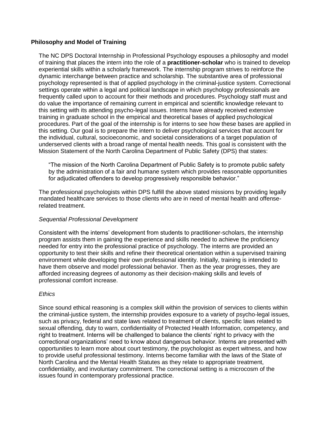# **Philosophy and Model of Training**

The NC DPS Doctoral Internship in Professional Psychology espouses a philosophy and model of training that places the intern into the role of a **practitioner-scholar** who is trained to develop experiential skills within a scholarly framework. The internship program strives to reinforce the dynamic interchange between practice and scholarship. The substantive area of professional psychology represented is that of applied psychology in the criminal-justice system. Correctional settings operate within a legal and political landscape in which psychology professionals are frequently called upon to account for their methods and procedures. Psychology staff must and do value the importance of remaining current in empirical and scientific knowledge relevant to this setting with its attending psycho-legal issues. Interns have already received extensive training in graduate school in the empirical and theoretical bases of applied psychological procedures. Part of the goal of the internship is for interns to see how these bases are applied in this setting. Our goal is to prepare the intern to deliver psychological services that account for the individual, cultural, socioeconomic, and societal considerations of a target population of underserved clients with a broad range of mental health needs. This goal is consistent with the Mission Statement of the North Carolina Department of Public Safety (DPS) that states:

"The mission of the North Carolina Department of Public Safety is to promote public safety by the administration of a fair and humane system which provides reasonable opportunities for adjudicated offenders to develop progressively responsible behavior."

The professional psychologists within DPS fulfill the above stated missions by providing legally mandated healthcare services to those clients who are in need of mental health and offenserelated treatment.

#### *Sequential Professional Development*

Consistent with the interns' development from students to practitioner-scholars, the internship program assists them in gaining the experience and skills needed to achieve the proficiency needed for entry into the professional practice of psychology. The interns are provided an opportunity to test their skills and refine their theoretical orientation within a supervised training environment while developing their own professional identity. Initially, training is intended to have them observe and model professional behavior. Then as the year progresses, they are afforded increasing degrees of autonomy as their decision-making skills and levels of professional comfort increase.

#### *Ethics*

Since sound ethical reasoning is a complex skill within the provision of services to clients within the criminal-justice system, the internship provides exposure to a variety of psycho-legal issues, such as privacy, federal and state laws related to treatment of clients, specific laws related to sexual offending, duty to warn, confidentiality of Protected Health Information, competency, and right to treatment. Interns will be challenged to balance the clients' right to privacy with the correctional organizations' need to know about dangerous behavior. Interns are presented with opportunities to learn more about court testimony, the psychologist as expert witness, and how to provide useful professional testimony. Interns become familiar with the laws of the State of North Carolina and the Mental Health Statutes as they relate to appropriate treatment, confidentiality, and involuntary commitment. The correctional setting is a microcosm of the issues found in contemporary professional practice.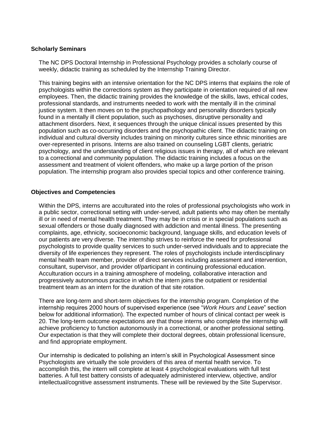#### **Scholarly Seminars**

The NC DPS Doctoral Internship in Professional Psychology provides a scholarly course of weekly, didactic training as scheduled by the Internship Training Director.

This training begins with an intensive orientation for the NC DPS interns that explains the role of psychologists within the corrections system as they participate in orientation required of all new employees. Then, the didactic training provides the knowledge of the skills, laws, ethical codes, professional standards, and instruments needed to work with the mentally ill in the criminal justice system. It then moves on to the psychopathology and personality disorders typically found in a mentally ill client population, such as psychoses, disruptive personality and attachment disorders. Next, it sequences through the unique clinical issues presented by this population such as co-occurring disorders and the psychopathic client. The didactic training on individual and cultural diversity includes training on minority cultures since ethnic minorities are over-represented in prisons. Interns are also trained on counseling LGBT clients, geriatric psychology, and the understanding of client religious issues in therapy, all of which are relevant to a correctional and community population. The didactic training includes a focus on the assessment and treatment of violent offenders, who make up a large portion of the prison population. The internship program also provides special topics and other conference training.

#### **Objectives and Competencies**

Within the DPS, interns are acculturated into the roles of professional psychologists who work in a public sector, correctional setting with under-served, adult patients who may often be mentally ill or in need of mental health treatment. They may be in crisis or in special populations such as sexual offenders or those dually diagnosed with addiction and mental illness. The presenting complaints, age, ethnicity, socioeconomic background, language skills, and education levels of our patients are very diverse. The internship strives to reinforce the need for professional psychologists to provide quality services to such under-served individuals and to appreciate the diversity of life experiences they represent. The roles of psychologists include interdisciplinary mental health team member, provider of direct services including assessment and intervention, consultant, supervisor, and provider of/participant in continuing professional education. Acculturation occurs in a training atmosphere of modeling, collaborative interaction and progressively autonomous practice in which the intern joins the outpatient or residential treatment team as an intern for the duration of that site rotation.

There are long-term and short-term objectives for the internship program. Completion of the internship requires 2000 hours of supervised experience (see "*Work Hours and Leave*" section below for additional information). The expected number of hours of clinical contact per week is 20. The long-term outcome expectations are that those interns who complete the internship will achieve proficiency to function autonomously in a correctional, or another professional setting. Our expectation is that they will complete their doctoral degrees, obtain professional licensure, and find appropriate employment.

Our internship is dedicated to polishing an intern's skill in Psychological Assessment since Psychologists are virtually the sole providers of this area of mental health service. To accomplish this, the intern will complete at least 4 psychological evaluations with full test batteries. A full test battery consists of adequately administered interview, objective, and/or intellectual/cognitive assessment instruments. These will be reviewed by the Site Supervisor.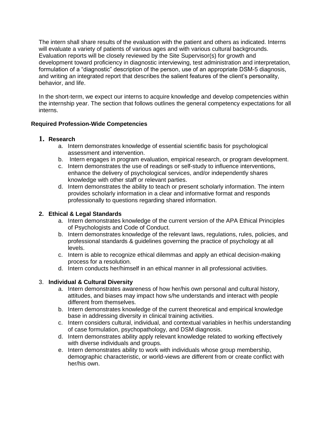The intern shall share results of the evaluation with the patient and others as indicated. Interns will evaluate a variety of patients of various ages and with various cultural backgrounds. Evaluation reports will be closely reviewed by the Site Supervisor(s) for growth and development toward proficiency in diagnostic interviewing, test administration and interpretation, formulation of a "diagnostic" description of the person, use of an appropriate DSM-5 diagnosis, and writing an integrated report that describes the salient features of the client's personality, behavior, and life.

In the short-term, we expect our interns to acquire knowledge and develop competencies within the internship year. The section that follows outlines the general competency expectations for all interns.

# **Required Profession**‐**Wide Competencies**

# **1. Research**

- a. Intern demonstrates knowledge of essential scientific basis for psychological assessment and intervention.
- b. Intern engages in program evaluation, empirical research, or program development.
- c. Intern demonstrates the use of readings or self-study to influence interventions, enhance the delivery of psychological services, and/or independently shares knowledge with other staff or relevant parties.
- d. Intern demonstrates the ability to teach or present scholarly information. The intern provides scholarly information in a clear and informative format and responds professionally to questions regarding shared information.

# **2. Ethical & Legal Standards**

- a. Intern demonstrates knowledge of the current version of the APA Ethical Principles of Psychologists and Code of Conduct.
- b. Intern demonstrates knowledge of the relevant laws, regulations, rules, policies, and professional standards & guidelines governing the practice of psychology at all levels.
- c. Intern is able to recognize ethical dilemmas and apply an ethical decision-making process for a resolution.
- d. Intern conducts her/himself in an ethical manner in all professional activities.

# 3. **Individual & Cultural Diversity**

- a. Intern demonstrates awareness of how her/his own personal and cultural history, attitudes, and biases may impact how s/he understands and interact with people different from themselves.
- b. Intern demonstrates knowledge of the current theoretical and empirical knowledge base in addressing diversity in clinical training activities.
- c. Intern considers cultural, individual, and contextual variables in her/his understanding of case formulation, psychopathology, and DSM diagnosis.
- d. Intern demonstrates ability apply relevant knowledge related to working effectively with diverse individuals and groups.
- e. Intern demonstrates ability to work with individuals whose group membership, demographic characteristic, or world-views are different from or create conflict with her/his own.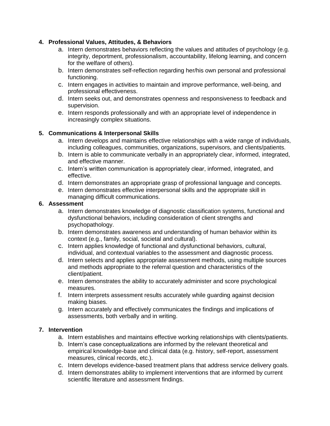# **4. Professional Values, Attitudes, & Behaviors**

- a. Intern demonstrates behaviors reflecting the values and attitudes of psychology (e.g. integrity, deportment, professionalism, accountability, lifelong learning, and concern for the welfare of others).
- b. Intern demonstrates self-reflection regarding her/his own personal and professional functioning.
- c. Intern engages in activities to maintain and improve performance, well-being, and professional effectiveness.
- d. Intern seeks out, and demonstrates openness and responsiveness to feedback and supervision.
- e. Intern responds professionally and with an appropriate level of independence in increasingly complex situations.

# **5. Communications & Interpersonal Skills**

- a. Intern develops and maintains effective relationships with a wide range of individuals, including colleagues, communities, organizations, supervisors, and clients/patients.
- b. Intern is able to communicate verbally in an appropriately clear, informed, integrated, and effective manner.
- c. Intern's written communication is appropriately clear, informed, integrated, and effective.
- d. Intern demonstrates an appropriate grasp of professional language and concepts.
- e. Intern demonstrates effective interpersonal skills and the appropriate skill in managing difficult communications.

# **6. Assessment**

- a. Intern demonstrates knowledge of diagnostic classification systems, functional and dysfunctional behaviors, including consideration of client strengths and psychopathology.
- b. Intern demonstrates awareness and understanding of human behavior within its context (e.g., family, social, societal and cultural).
- c. Intern applies knowledge of functional and dysfunctional behaviors, cultural, individual, and contextual variables to the assessment and diagnostic process.
- d. Intern selects and applies appropriate assessment methods, using multiple sources and methods appropriate to the referral question and characteristics of the client/patient.
- e. Intern demonstrates the ability to accurately administer and score psychological measures.
- f. Intern interprets assessment results accurately while guarding against decision making biases.
- g. Intern accurately and effectively communicates the findings and implications of assessments, both verbally and in writing.

# **7. Intervention**

- a. Intern establishes and maintains effective working relationships with clients/patients.
- b. Intern's case conceptualizations are informed by the relevant theoretical and empirical knowledge-base and clinical data (e.g. history, self-report, assessment measures, clinical records, etc.).
- c. Intern develops evidence-based treatment plans that address service delivery goals.
- d. Intern demonstrates ability to implement interventions that are informed by current scientific literature and assessment findings.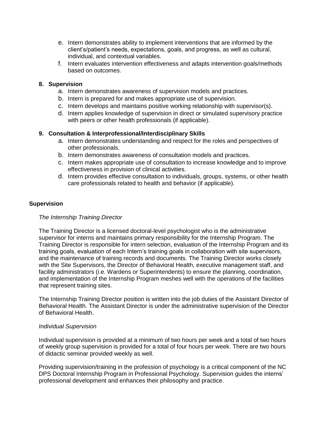- e. Intern demonstrates ability to implement interventions that are informed by the client's/patient's needs, expectations, goals, and progress, as well as cultural, individual, and contextual variables.
- f. Intern evaluates intervention effectiveness and adapts intervention goals/methods based on outcomes.

# **8. Supervision**

- a. Intern demonstrates awareness of supervision models and practices.
- b. Intern is prepared for and makes appropriate use of supervision.
- c. Intern develops and maintains positive working relationship with supervisor(s).
- d. Intern applies knowledge of supervision in direct or simulated supervisory practice with peers or other health professionals (if applicable).

# **9. Consultation & Interprofessional/Interdisciplinary Skills**

- a. Intern demonstrates understanding and respect for the roles and perspectives of other professionals.
- b. Intern demonstrates awareness of consultation models and practices.
- c. Intern makes appropriate use of consultation to increase knowledge and to improve effectiveness in provision of clinical activities.
- d. Intern provides effective consultation to individuals, groups, systems, or other health care professionals related to health and behavior (if applicable).

# **Supervision**

#### *The Internship Training Director*

The Training Director is a licensed doctoral-level psychologist who is the administrative supervisor for interns and maintains primary responsibility for the Internship Program. The Training Director is responsible for intern selection, evaluation of the Internship Program and its training goals, evaluation of each Intern's training goals in collaboration with site supervisors, and the maintenance of training records and documents. The Training Director works closely with the Site Supervisors, the Director of Behavioral Health, executive management staff, and facility administrators (i.e. Wardens or Superintendents) to ensure the planning, coordination, and implementation of the Internship Program meshes well with the operations of the facilities that represent training sites.

The Internship Training Director position is written into the job duties of the Assistant Director of Behavioral Health. The Assistant Director is under the administrative supervision of the Director of Behavioral Health.

#### *Individual Supervision*

Individual supervision is provided at a minimum of two hours per week and a total of two hours of weekly group supervision is provided for a total of four hours per week. There are two hours of didactic seminar provided weekly as well.

Providing supervision/training in the profession of psychology is a critical component of the NC DPS Doctoral Internship Program in Professional Psychology. Supervision guides the interns' professional development and enhances their philosophy and practice.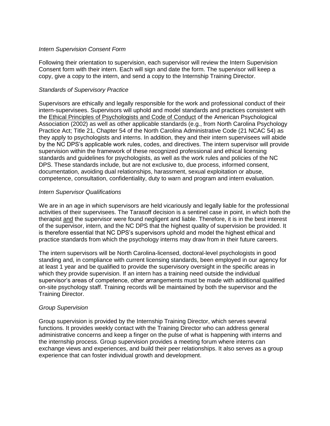## *Intern Supervision Consent Form*

Following their orientation to supervision, each supervisor will review the Intern Supervision Consent form with their intern. Each will sign and date the form. The supervisor will keep a copy, give a copy to the intern, and send a copy to the Internship Training Director.

# *Standards of Supervisory Practice*

Supervisors are ethically and legally responsible for the work and professional conduct of their intern-supervisees. Supervisors will uphold and model standards and practices consistent with the Ethical Principles of Psychologists and Code of Conduct of the American Psychological Association (2002) as well as other applicable standards (e.g., from North Carolina Psychology Practice Act; Title 21, Chapter 54 of the North Carolina Administrative Code (21 NCAC 54) as they apply to psychologists and interns. In addition, they and their intern supervisees will abide by the NC DPS's applicable work rules, codes, and directives. The intern supervisor will provide supervision within the framework of these recognized professional and ethical licensing standards and guidelines for psychologists, as well as the work rules and policies of the NC DPS. These standards include, but are not exclusive to, due process, informed consent, documentation, avoiding dual relationships, harassment, sexual exploitation or abuse, competence, consultation, confidentiality, duty to warn and program and intern evaluation.

# *Intern Supervisor Qualifications*

We are in an age in which supervisors are held vicariously and legally liable for the professional activities of their supervisees. The Tarasoff decision is a sentinel case in point, in which both the therapist and the supervisor were found negligent and liable. Therefore, it is in the best interest of the supervisor, intern, and the NC DPS that the highest quality of supervision be provided. It is therefore essential that NC DPS's supervisors uphold and model the highest ethical and practice standards from which the psychology interns may draw from in their future careers.

The intern supervisors will be North Carolina-licensed, doctoral-level psychologists in good standing and, in compliance with current licensing standards, been employed in our agency for at least 1 year and be qualified to provide the supervisory oversight in the specific areas in which they provide supervision. If an intern has a training need outside the individual supervisor's areas of competence, other arrangements must be made with additional qualified on-site psychology staff. Training records will be maintained by both the supervisor and the Training Director.

#### *Group Supervision*

Group supervision is provided by the Internship Training Director, which serves several functions. It provides weekly contact with the Training Director who can address general administrative concerns and keep a finger on the pulse of what is happening with interns and the internship process. Group supervision provides a meeting forum where interns can exchange views and experiences, and build their peer relationships. It also serves as a group experience that can foster individual growth and development.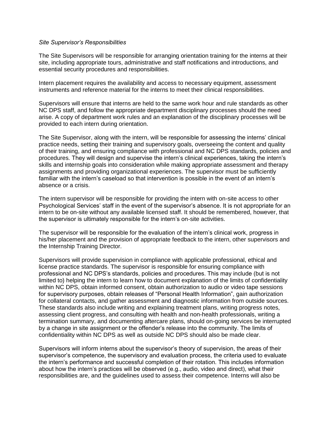#### *Site Supervisor's Responsibilities*

The Site Supervisors will be responsible for arranging orientation training for the interns at their site, including appropriate tours, administrative and staff notifications and introductions, and essential security procedures and responsibilities.

Intern placement requires the availability and access to necessary equipment, assessment instruments and reference material for the interns to meet their clinical responsibilities.

Supervisors will ensure that interns are held to the same work hour and rule standards as other NC DPS staff, and follow the appropriate department disciplinary processes should the need arise. A copy of department work rules and an explanation of the disciplinary processes will be provided to each intern during orientation.

The Site Supervisor, along with the intern, will be responsible for assessing the interns' clinical practice needs, setting their training and supervisory goals, overseeing the content and quality of their training, and ensuring compliance with professional and NC DPS standards, policies and procedures. They will design and supervise the intern's clinical experiences, taking the intern's skills and internship goals into consideration while making appropriate assessment and therapy assignments and providing organizational experiences. The supervisor must be sufficiently familiar with the intern's caseload so that intervention is possible in the event of an intern's absence or a crisis.

The intern supervisor will be responsible for providing the intern with on-site access to other Psychological Services' staff in the event of the supervisor's absence. It is not appropriate for an intern to be on-site without any available licensed staff. It should be remembered, however, that the supervisor is ultimately responsible for the intern's on-site activities.

The supervisor will be responsible for the evaluation of the intern's clinical work, progress in his/her placement and the provision of appropriate feedback to the intern, other supervisors and the Internship Training Director.

Supervisors will provide supervision in compliance with applicable professional, ethical and license practice standards. The supervisor is responsible for ensuring compliance with professional and NC DPS's standards, policies and procedures. This may include (but is not limited to) helping the intern to learn how to document explanation of the limits of confidentiality within NC DPS, obtain informed consent, obtain authorization to audio or video tape sessions for supervisory purposes, obtain releases of "Personal Health Information", gain authorization for collateral contacts, and gather assessment and diagnostic information from outside sources. These standards also include writing and explaining treatment plans, writing progress notes, assessing client progress, and consulting with health and non-health professionals, writing a termination summary, and documenting aftercare plans, should on-going services be interrupted by a change in site assignment or the offender's release into the community. The limits of confidentiality within NC DPS as well as outside NC DPS should also be made clear.

Supervisors will inform interns about the supervisor's theory of supervision, the areas of their supervisor's competence, the supervisory and evaluation process, the criteria used to evaluate the intern's performance and successful completion of their rotation. This includes information about how the intern's practices will be observed (e.g., audio, video and direct), what their responsibilities are, and the guidelines used to assess their competence. Interns will also be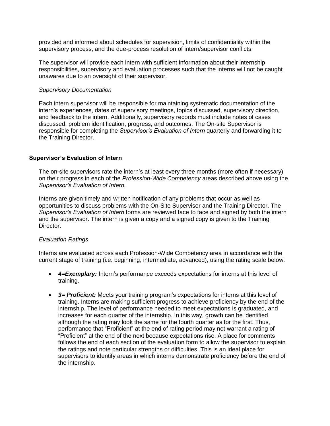provided and informed about schedules for supervision, limits of confidentiality within the supervisory process, and the due-process resolution of intern/supervisor conflicts.

The supervisor will provide each intern with sufficient information about their internship responsibilities, supervisory and evaluation processes such that the interns will not be caught unawares due to an oversight of their supervisor.

### *Supervisory Documentation*

Each intern supervisor will be responsible for maintaining systematic documentation of the intern's experiences, dates of supervisory meetings, topics discussed, supervisory direction, and feedback to the intern. Additionally, supervisory records must include notes of cases discussed, problem identification, progress, and outcomes. The On-site Supervisor is responsible for completing the *Supervisor's Evaluation of Intern* quarterly and forwarding it to the Training Director.

# **Supervisor's Evaluation of Intern**

The on-site supervisors rate the intern's at least every three months (more often if necessary) on their progress in each of the *Profession-Wide Competency* areas described above using the *Supervisor's Evaluation of Intern*.

Interns are given timely and written notification of any problems that occur as well as opportunities to discuss problems with the On-Site Supervisor and the Training Director. The *Supervisor's Evaluation of Intern* forms are reviewed face to face and signed by both the intern and the supervisor. The intern is given a copy and a signed copy is given to the Training Director.

# *Evaluation Ratings*

Interns are evaluated across each Profession-Wide Competency area in accordance with the current stage of training (i.e. beginning, intermediate, advanced), using the rating scale below:

- *4=Exemplary:* Intern's performance exceeds expectations for interns at this level of training.
- **3= Proficient:** Meets your training program's expectations for interns at this level of training. Interns are making sufficient progress to achieve proficiency by the end of the internship. The level of performance needed to meet expectations is graduated, and increases for each quarter of the internship. In this way, growth can be identified although the rating may look the same for the fourth quarter as for the first. Thus, performance that "Proficient" at the end of rating period may not warrant a rating of "Proficient" at the end of the next because expectations rise. A place for comments follows the end of each section of the evaluation form to allow the supervisor to explain the ratings and note particular strengths or difficulties. This is an ideal place for supervisors to identify areas in which interns demonstrate proficiency before the end of the internship.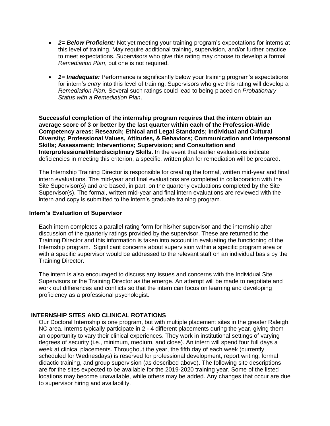- *2= Below Proficient:* Not yet meeting your training program's expectations for interns at this level of training. May require additional training, supervision, and/or further practice to meet expectations. Supervisors who give this rating may choose to develop a formal *Remediation Plan*, but one is not required.
- *1= Inadequate:* Performance is significantly below your training program's expectations for intern's *entry* into this level of training. Supervisors who give this rating will develop a *Remediation Plan.* Several such ratings could lead to being placed on *Probationary Status with a Remediation Plan*.

**Successful completion of the internship program requires that the intern obtain an average score of 3 or better by the last quarter within each of the Profession-Wide Competency areas: Research; Ethical and Legal Standards; Individual and Cultural Diversity; Professional Values, Attitudes, & Behaviors; Communication and Interpersonal Skills; Assessment; Interventions; Supervision; and Consultation and Interprofessional/Interdisciplinary Skills.** In the event that earlier evaluations indicate deficiencies in meeting this criterion, a specific, written plan for remediation will be prepared.

The Internship Training Director is responsible for creating the formal, written mid-year and final intern evaluations. The mid-year and final evaluations are completed in collaboration with the Site Supervisor(s) and are based, in part, on the quarterly evaluations completed by the Site Supervisor(s). The formal, written mid-year and final intern evaluations are reviewed with the intern and copy is submitted to the intern's graduate training program.

#### **Intern's Evaluation of Supervisor**

Each intern completes a parallel rating form for his/her supervisor and the internship after discussion of the quarterly ratings provided by the supervisor. These are returned to the Training Director and this information is taken into account in evaluating the functioning of the Internship program. Significant concerns about supervision within a specific program area or with a specific supervisor would be addressed to the relevant staff on an individual basis by the Training Director.

The intern is also encouraged to discuss any issues and concerns with the Individual Site Supervisors or the Training Director as the emerge. An attempt will be made to negotiate and work out differences and conflicts so that the intern can focus on learning and developing proficiency as a professional psychologist.

#### **INTERNSHIP SITES AND CLINICAL ROTATIONS**

Our Doctoral Internship is one program, but with multiple placement sites in the greater Raleigh, NC area. Interns typically participate in 2 - 4 different placements during the year, giving them an opportunity to vary their clinical experiences. They work in institutional settings of varying degrees of security (i.e., minimum, medium, and close). An intern will spend four full days a week at clinical placements. Throughout the year, the fifth day of each week (currently scheduled for Wednesdays) is reserved for professional development, report writing, formal didactic training, and group supervision (as described above). The following site descriptions are for the sites expected to be available for the 2019-2020 training year. Some of the listed locations may become unavailable, while others may be added. Any changes that occur are due to supervisor hiring and availability.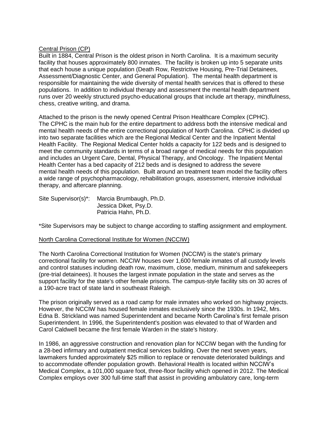## Central Prison (CP)

Built in 1884, Central Prison is the oldest prison in North Carolina. It is a maximum security facility that houses approximately 800 inmates. The facility is broken up into 5 separate units that each house a unique population (Death Row, Restrictive Housing, Pre-Trial Detainees, Assessment/Diagnostic Center, and General Population). The mental health department is responsible for maintaining the wide diversity of mental health services that is offered to these populations. In addition to individual therapy and assessment the mental health department runs over 20 weekly structured psycho-educational groups that include art therapy, mindfulness, chess, creative writing, and drama.

Attached to the prison is the newly opened Central Prison Healthcare Complex (CPHC). The CPHC is the main hub for the entire department to address both the intensive medical and mental health needs of the entire correctional population of North Carolina. CPHC is divided up into two separate facilities which are the Regional Medical Center and the Inpatient Mental Health Facility. The Regional Medical Center holds a capacity for 122 beds and is designed to meet the community standards in terms of a broad range of medical needs for this population and includes an Urgent Care, Dental, Physical Therapy, and Oncology. The Inpatient Mental Health Center has a bed capacity of 212 beds and is designed to address the severe mental health needs of this population. Built around an treatment team model the facility offers a wide range of psychopharmacology, rehabilitation groups, assessment, intensive individual therapy, and aftercare planning.

Site Supervisor(s)\*: Marcia Brumbaugh, Ph.D. Jessica Diket, Psy.D. Patricia Hahn, Ph.D.

\*Site Supervisors may be subject to change according to staffing assignment and employment.

#### North Carolina Correctional Institute for Women (NCCIW)

The North Carolina Correctional Institution for Women (NCCIW) is the state's primary correctional facility for women. NCCIW houses over 1,600 female inmates of all custody levels and control statuses including death row, maximum, close, medium, minimum and safekeepers (pre-trial detainees). It houses the largest inmate population in the state and serves as the support facility for the state's other female prisons. The campus-style facility sits on 30 acres of a 190-acre tract of state land in southeast Raleigh.

The prison originally served as a road camp for male inmates who worked on highway projects. However, the NCCIW has housed female inmates exclusively since the 1930s. In 1942, Mrs. Edna B. Strickland was named Superintendent and became North Carolina's first female prison Superintendent. In 1996, the Superintendent's position was elevated to that of Warden and Carol Caldwell became the first female Warden in the state's history.

In 1986, an aggressive construction and renovation plan for NCCIW began with the funding for a 28-bed infirmary and outpatient medical services building. Over the next seven years, lawmakers funded approximately \$25 million to replace or renovate deteriorated buildings and to accommodate offender population growth. Behavioral Health is located within NCCIW's Medical Complex, a 101,000 square foot, three-floor facility which opened in 2012. The Medical Complex employs over 300 full-time staff that assist in providing ambulatory care, long-term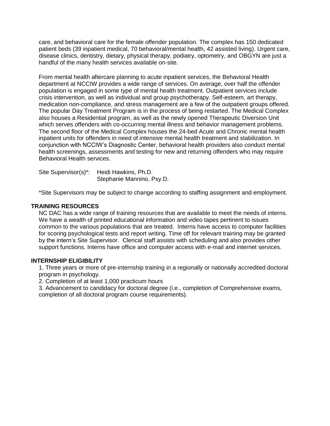care, and behavioral care for the female offender population. The complex has 150 dedicated patient beds (39 inpatient medical, 70 behavioral/mental health, 42 assisted living). Urgent care, disease clinics, dentistry, dietary, physical therapy, podiatry, optometry, and OBGYN are just a handful of the many health services available on-site.

From mental health aftercare planning to acute inpatient services, the Behavioral Health department at NCCIW provides a wide range of services. On average, over half the offender population is engaged in some type of mental health treatment. Outpatient services include crisis intervention, as well as individual and group psychotherapy. Self-esteem, art therapy, medication non-compliance, and stress management are a few of the outpatient groups offered. The popular Day Treatment Program is in the process of being restarted. The Medical Complex also houses a Residential program, as well as the newly opened Therapeutic Diversion Unit which serves offenders with co-occurring mental illness and behavior management problems. The second floor of the Medical Complex houses the 24-bed Acute and Chronic mental health inpatient units for offenders in need of intensive mental health treatment and stabilization. In conjunction with NCCIW's Diagnostic Center, behavioral health providers also conduct mental health screenings, assessments and testing for new and returning offenders who may require Behavioral Health services.

Site Supervisor(s)\*: Heidi Hawkins, Ph.D. Stephanie Mannino, Psy.D.

\*Site Supervisors may be subject to change according to staffing assignment and employment.

# **TRAINING RESOURCES**

NC DAC has a wide range of training resources that are available to meet the needs of interns. We have a wealth of printed educational information and video tapes pertinent to issues common to the various populations that are treated. Interns have access to computer facilities for scoring psychological tests and report writing. Time off for relevant training may be granted by the intern's Site Supervisor. Clerical staff assists with scheduling and also provides other support functions. Interns have office and computer access with e-mail and internet services.

#### **INTERNSHIP ELIGIBILITY**

1. Three years or more of pre-internship training in a regionally or nationally accredited doctoral program in psychology.

2. Completion of at least 1,000 practicum hours

3. Advancement to candidacy for doctoral degree (i.e., completion of Comprehensive exams, completion of all doctoral program course requirements).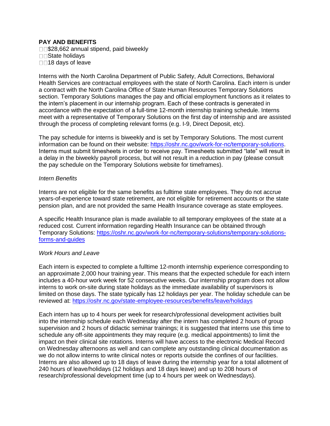# **PAY AND BENEFITS**

□□\$28,662 annual stipend, paid biweekly □□State holidays □□18 days of leave

Interns with the North Carolina Department of Public Safety, Adult Corrections, Behavioral Health Services are contractual employees with the state of North Carolina. Each intern is under a contract with the North Carolina Office of State Human Resources Temporary Solutions section. Temporary Solutions manages the pay and official employment functions as it relates to the intern's placement in our internship program. Each of these contracts is generated in accordance with the expectation of a full-time 12-month internship training schedule. Interns meet with a representative of Temporary Solutions on the first day of internship and are assisted through the process of completing relevant forms (e.g. I-9, Direct Deposit, etc).

The pay schedule for interns is biweekly and is set by Temporary Solutions. The most current information can be found on their website: [https://oshr.nc.gov/work-for-nc/temporary-solutions.](https://oshr.nc.gov/work-for-nc/temporary-solutions) Interns must submit timesheets in order to receive pay. Timesheets submitted "late" will result in a delay in the biweekly payroll process, but will not result in a reduction in pay (please consult the pay schedule on the Temporary Solutions website for timeframes).

#### *Intern Benefits*

Interns are not eligible for the same benefits as fulltime state employees. They do not accrue years-of-experience toward state retirement, are not eligible for retirement accounts or the state pension plan, and are not provided the same Health Insurance coverage as state employees.

A specific Health Insurance plan is made available to all temporary employees of the state at a reduced cost. Current information regarding Health Insurance can be obtained through Temporary Solutions: [https://oshr.nc.gov/work-for-nc/temporary-solutions/temporary-solutions](https://oshr.nc.gov/work-for-nc/temporary-solutions/temporary-solutions-forms-and-guides)[forms-and-guides](https://oshr.nc.gov/work-for-nc/temporary-solutions/temporary-solutions-forms-and-guides)

#### *Work Hours and Leave*

Each intern is expected to complete a fulltime 12-month internship experience corresponding to an approximate 2,000 hour training year. This means that the expected schedule for each intern includes a 40-hour work week for 52 consecutive weeks. Our internship program does not allow interns to work on-site during state holidays as the immediate availability of supervisors is limited on those days. The state typically has 12 holidays per year. The holiday schedule can be reviewed at:<https://oshr.nc.gov/state-employee-resources/benefits/leave/holidays>

Each intern has up to 4 hours per week for research/professional development activities built into the internship schedule each Wednesday after the intern has completed 2 hours of group supervision and 2 hours of didactic seminar trainings; it is suggested that interns use this time to schedule any off-site appointments they may require (e.g. medical appointments) to limit the impact on their clinical site rotations. Interns will have access to the electronic Medical Record on Wednesday afternoons as well and can complete any outstanding clinical documentation as we do not allow interns to write clinical notes or reports outside the confines of our facilities. Interns are also allowed up to 18 days of leave during the internship year for a total allotment of 240 hours of leave/holidays (12 holidays and 18 days leave) and up to 208 hours of research/professional development time (up to 4 hours per week on Wednesdays).